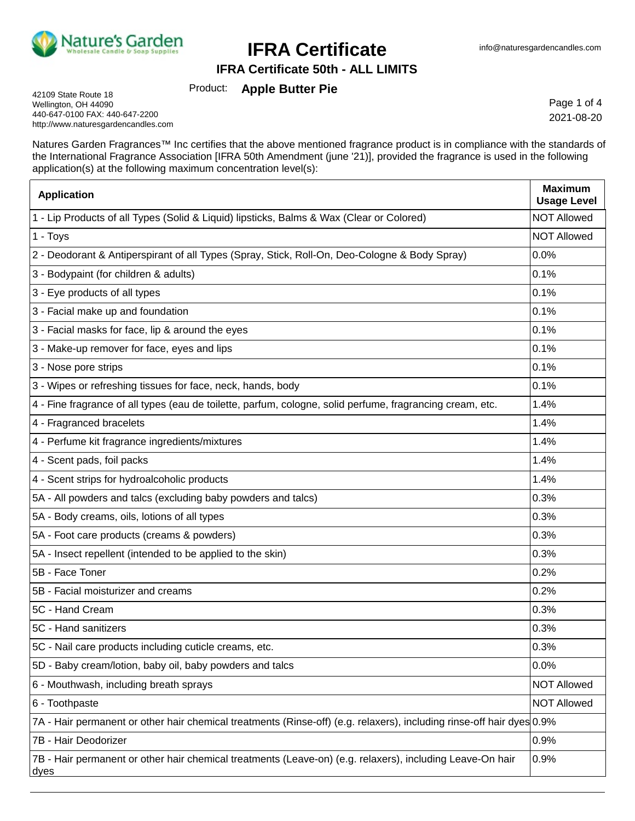

**IFRA Certificate 50th - ALL LIMITS**

Product: **Apple Butter Pie**

42109 State Route 18 Wellington, OH 44090 440-647-0100 FAX: 440-647-2200 http://www.naturesgardencandles.com

Page 1 of 4 2021-08-20

Natures Garden Fragrances™ Inc certifies that the above mentioned fragrance product is in compliance with the standards of the International Fragrance Association [IFRA 50th Amendment (june '21)], provided the fragrance is used in the following application(s) at the following maximum concentration level(s):

| <b>Application</b>                                                                                                    | <b>Maximum</b><br><b>Usage Level</b> |
|-----------------------------------------------------------------------------------------------------------------------|--------------------------------------|
| 1 - Lip Products of all Types (Solid & Liquid) lipsticks, Balms & Wax (Clear or Colored)                              | <b>NOT Allowed</b>                   |
| 1 - Toys                                                                                                              | <b>NOT Allowed</b>                   |
| 2 - Deodorant & Antiperspirant of all Types (Spray, Stick, Roll-On, Deo-Cologne & Body Spray)                         | 0.0%                                 |
| 3 - Bodypaint (for children & adults)                                                                                 | 0.1%                                 |
| 3 - Eye products of all types                                                                                         | 0.1%                                 |
| 3 - Facial make up and foundation                                                                                     | 0.1%                                 |
| 3 - Facial masks for face, lip & around the eyes                                                                      | 0.1%                                 |
| 3 - Make-up remover for face, eyes and lips                                                                           | 0.1%                                 |
| 3 - Nose pore strips                                                                                                  | 0.1%                                 |
| 3 - Wipes or refreshing tissues for face, neck, hands, body                                                           | 0.1%                                 |
| 4 - Fine fragrance of all types (eau de toilette, parfum, cologne, solid perfume, fragrancing cream, etc.             | 1.4%                                 |
| 4 - Fragranced bracelets                                                                                              | 1.4%                                 |
| 4 - Perfume kit fragrance ingredients/mixtures                                                                        | 1.4%                                 |
| 4 - Scent pads, foil packs                                                                                            | 1.4%                                 |
| 4 - Scent strips for hydroalcoholic products                                                                          | 1.4%                                 |
| 5A - All powders and talcs (excluding baby powders and talcs)                                                         | 0.3%                                 |
| 5A - Body creams, oils, lotions of all types                                                                          | 0.3%                                 |
| 5A - Foot care products (creams & powders)                                                                            | 0.3%                                 |
| 5A - Insect repellent (intended to be applied to the skin)                                                            | 0.3%                                 |
| 5B - Face Toner                                                                                                       | 0.2%                                 |
| 5B - Facial moisturizer and creams                                                                                    | 0.2%                                 |
| 5C - Hand Cream                                                                                                       | 0.3%                                 |
| 5C - Hand sanitizers                                                                                                  | 0.3%                                 |
| 5C - Nail care products including cuticle creams, etc.                                                                | 0.3%                                 |
| 5D - Baby cream/lotion, baby oil, baby powders and talcs                                                              | 0.0%                                 |
| 6 - Mouthwash, including breath sprays                                                                                | <b>NOT Allowed</b>                   |
| 6 - Toothpaste                                                                                                        | <b>NOT Allowed</b>                   |
| 7A - Hair permanent or other hair chemical treatments (Rinse-off) (e.g. relaxers), including rinse-off hair dyes 0.9% |                                      |
| 7B - Hair Deodorizer                                                                                                  | 0.9%                                 |
| 7B - Hair permanent or other hair chemical treatments (Leave-on) (e.g. relaxers), including Leave-On hair<br>dyes     | 0.9%                                 |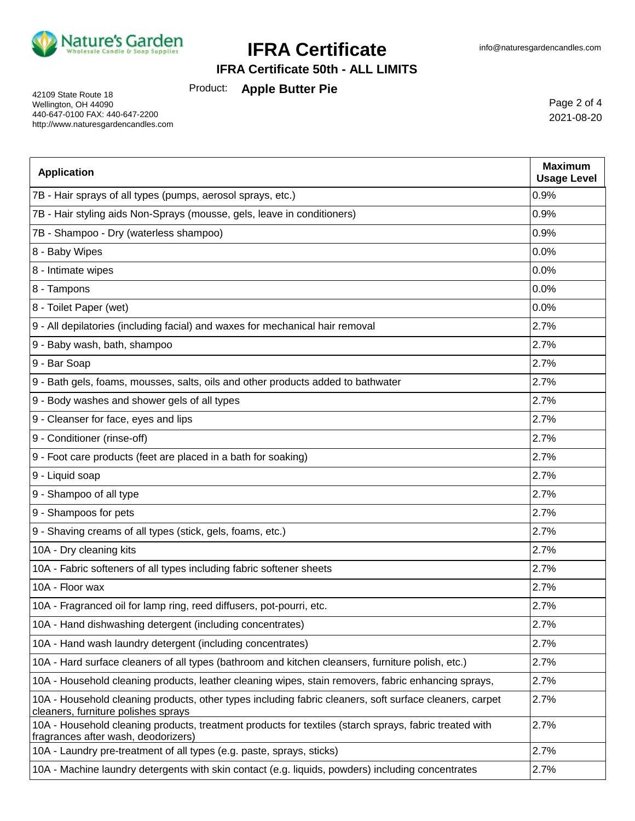

**IFRA Certificate 50th - ALL LIMITS**

Product: **Apple Butter Pie**

42109 State Route 18 Wellington, OH 44090 440-647-0100 FAX: 440-647-2200 http://www.naturesgardencandles.com

Page 2 of 4 2021-08-20

| <b>Application</b>                                                                                                                             | <b>Maximum</b><br><b>Usage Level</b> |
|------------------------------------------------------------------------------------------------------------------------------------------------|--------------------------------------|
| 7B - Hair sprays of all types (pumps, aerosol sprays, etc.)                                                                                    | 0.9%                                 |
| 7B - Hair styling aids Non-Sprays (mousse, gels, leave in conditioners)                                                                        | 0.9%                                 |
| 7B - Shampoo - Dry (waterless shampoo)                                                                                                         | 0.9%                                 |
| 8 - Baby Wipes                                                                                                                                 | 0.0%                                 |
| 8 - Intimate wipes                                                                                                                             | 0.0%                                 |
| 8 - Tampons                                                                                                                                    | 0.0%                                 |
| 8 - Toilet Paper (wet)                                                                                                                         | 0.0%                                 |
| 9 - All depilatories (including facial) and waxes for mechanical hair removal                                                                  | 2.7%                                 |
| 9 - Baby wash, bath, shampoo                                                                                                                   | 2.7%                                 |
| 9 - Bar Soap                                                                                                                                   | 2.7%                                 |
| 9 - Bath gels, foams, mousses, salts, oils and other products added to bathwater                                                               | 2.7%                                 |
| 9 - Body washes and shower gels of all types                                                                                                   | 2.7%                                 |
| 9 - Cleanser for face, eyes and lips                                                                                                           | 2.7%                                 |
| 9 - Conditioner (rinse-off)                                                                                                                    | 2.7%                                 |
| 9 - Foot care products (feet are placed in a bath for soaking)                                                                                 | 2.7%                                 |
| 9 - Liquid soap                                                                                                                                | 2.7%                                 |
| 9 - Shampoo of all type                                                                                                                        | 2.7%                                 |
| 9 - Shampoos for pets                                                                                                                          | 2.7%                                 |
| 9 - Shaving creams of all types (stick, gels, foams, etc.)                                                                                     | 2.7%                                 |
| 10A - Dry cleaning kits                                                                                                                        | 2.7%                                 |
| 10A - Fabric softeners of all types including fabric softener sheets                                                                           | 2.7%                                 |
| 10A - Floor wax                                                                                                                                | 2.7%                                 |
| 10A - Fragranced oil for lamp ring, reed diffusers, pot-pourri, etc.                                                                           | 2.7%                                 |
| 10A - Hand dishwashing detergent (including concentrates)                                                                                      | 2.7%                                 |
| 10A - Hand wash laundry detergent (including concentrates)                                                                                     | 2.7%                                 |
| 10A - Hard surface cleaners of all types (bathroom and kitchen cleansers, furniture polish, etc.)                                              | 2.7%                                 |
| 10A - Household cleaning products, leather cleaning wipes, stain removers, fabric enhancing sprays,                                            | 2.7%                                 |
| 10A - Household cleaning products, other types including fabric cleaners, soft surface cleaners, carpet<br>cleaners, furniture polishes sprays | 2.7%                                 |
| 10A - Household cleaning products, treatment products for textiles (starch sprays, fabric treated with<br>fragrances after wash, deodorizers)  | 2.7%                                 |
| 10A - Laundry pre-treatment of all types (e.g. paste, sprays, sticks)                                                                          | 2.7%                                 |
| 10A - Machine laundry detergents with skin contact (e.g. liquids, powders) including concentrates                                              | 2.7%                                 |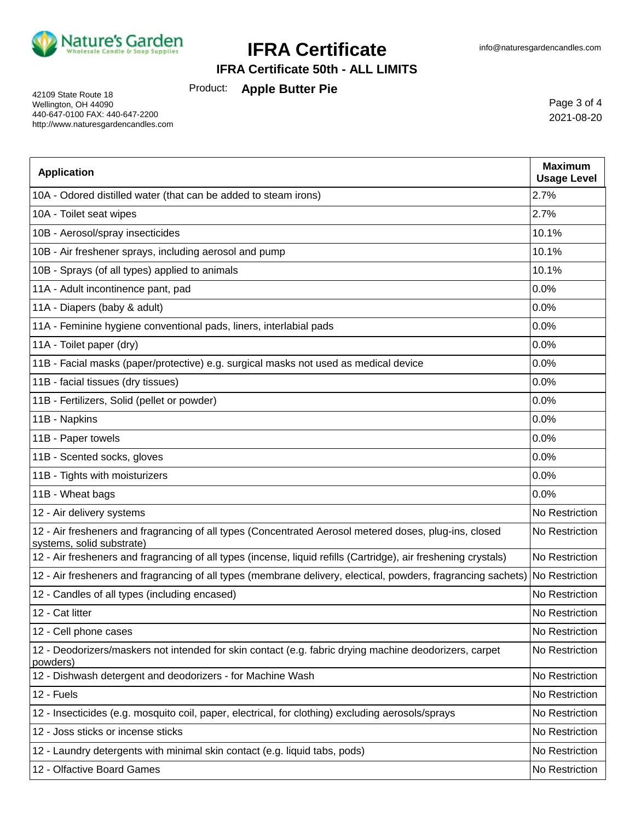

### **IFRA Certificate 50th - ALL LIMITS**

Product: **Apple Butter Pie**

42109 State Route 18 Wellington, OH 44090 440-647-0100 FAX: 440-647-2200 http://www.naturesgardencandles.com

Page 3 of 4 2021-08-20

| <b>Application</b>                                                                                                                  | <b>Maximum</b><br><b>Usage Level</b> |
|-------------------------------------------------------------------------------------------------------------------------------------|--------------------------------------|
| 10A - Odored distilled water (that can be added to steam irons)                                                                     | 2.7%                                 |
| 10A - Toilet seat wipes                                                                                                             | 2.7%                                 |
| 10B - Aerosol/spray insecticides                                                                                                    | 10.1%                                |
| 10B - Air freshener sprays, including aerosol and pump                                                                              | 10.1%                                |
| 10B - Sprays (of all types) applied to animals                                                                                      | 10.1%                                |
| 11A - Adult incontinence pant, pad                                                                                                  | 0.0%                                 |
| 11A - Diapers (baby & adult)                                                                                                        | 0.0%                                 |
| 11A - Feminine hygiene conventional pads, liners, interlabial pads                                                                  | 0.0%                                 |
| 11A - Toilet paper (dry)                                                                                                            | 0.0%                                 |
| 11B - Facial masks (paper/protective) e.g. surgical masks not used as medical device                                                | 0.0%                                 |
| 11B - facial tissues (dry tissues)                                                                                                  | 0.0%                                 |
| 11B - Fertilizers, Solid (pellet or powder)                                                                                         | 0.0%                                 |
| 11B - Napkins                                                                                                                       | 0.0%                                 |
| 11B - Paper towels                                                                                                                  | 0.0%                                 |
| 11B - Scented socks, gloves                                                                                                         | 0.0%                                 |
| 11B - Tights with moisturizers                                                                                                      | 0.0%                                 |
| 11B - Wheat bags                                                                                                                    | 0.0%                                 |
| 12 - Air delivery systems                                                                                                           | No Restriction                       |
| 12 - Air fresheners and fragrancing of all types (Concentrated Aerosol metered doses, plug-ins, closed<br>systems, solid substrate) | No Restriction                       |
| 12 - Air fresheners and fragrancing of all types (incense, liquid refills (Cartridge), air freshening crystals)                     | No Restriction                       |
| 12 - Air fresheners and fragrancing of all types (membrane delivery, electical, powders, fragrancing sachets) No Restriction        |                                      |
| 12 - Candles of all types (including encased)                                                                                       | No Restriction                       |
| 12 - Cat litter                                                                                                                     | No Restriction                       |
| 12 - Cell phone cases                                                                                                               | No Restriction                       |
| 12 - Deodorizers/maskers not intended for skin contact (e.g. fabric drying machine deodorizers, carpet<br>powders)                  | No Restriction                       |
| 12 - Dishwash detergent and deodorizers - for Machine Wash                                                                          | No Restriction                       |
| 12 - Fuels                                                                                                                          | No Restriction                       |
| 12 - Insecticides (e.g. mosquito coil, paper, electrical, for clothing) excluding aerosols/sprays                                   | No Restriction                       |
| 12 - Joss sticks or incense sticks                                                                                                  | No Restriction                       |
| 12 - Laundry detergents with minimal skin contact (e.g. liquid tabs, pods)                                                          | No Restriction                       |
| 12 - Olfactive Board Games                                                                                                          | No Restriction                       |